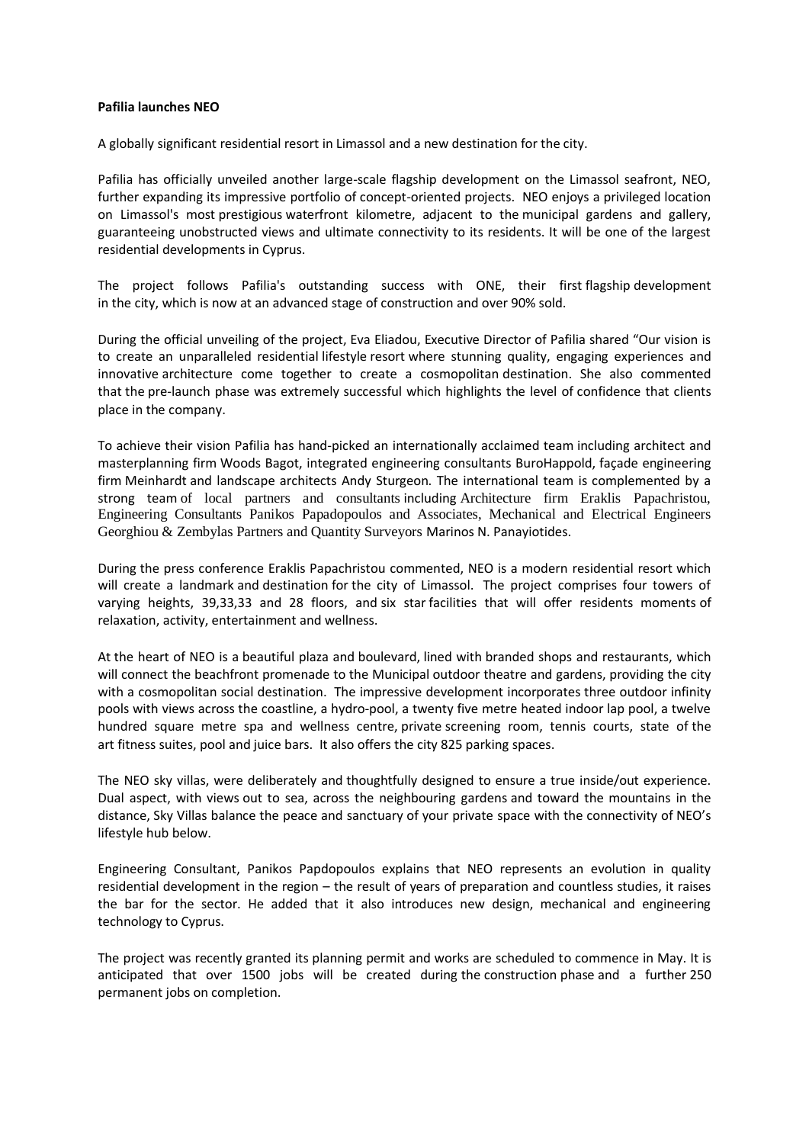## **Pafilia launches NEO**

A globally significant residential resort in Limassol and a new destination for the city.

Pafilia has officially unveiled another large-scale flagship development on the Limassol seafront, NEO, further expanding its impressive portfolio of concept-oriented projects. NEO enjoys a privileged location on Limassol's most prestigious waterfront kilometre, adjacent to the municipal gardens and gallery, guaranteeing unobstructed views and ultimate connectivity to its residents. It will be one of the largest residential developments in Cyprus.

The project follows Pafilia's outstanding success with ONE, their first flagship development in the city, which is now at an advanced stage of construction and over 90% sold.

During the official unveiling of the project, Eva Eliadou, Executive Director of Pafilia shared "Our vision is to create an unparalleled residential lifestyle resort where stunning quality, engaging experiences and innovative architecture come together to create a cosmopolitan destination. She also commented that the pre-launch phase was extremely successful which highlights the level of confidence that clients place in the company.

To achieve their vision Pafilia has hand-picked an internationally acclaimed team including architect and masterplanning firm Woods Bagot, integrated engineering consultants BuroHappold, façade engineering firm Meinhardt and landscape architects Andy Sturgeon. The international team is complemented by a strong team of local partners and consultants including Architecture firm Eraklis Papachristou, Engineering Consultants Panikos Papadopoulos and Associates, Mechanical and Electrical Engineers Georghiou & Zembylas Partners and Quantity Surveyors Marinos N. Panayiotides.

During the press conference Eraklis Papachristou commented, NEO is a modern residential resort which will create a landmark and destination for the city of Limassol. The project comprises four towers of varying heights, 39,33,33 and 28 floors, and six star facilities that will offer residents moments of relaxation, activity, entertainment and wellness.

At the heart of NEO is a beautiful plaza and boulevard, lined with branded shops and restaurants, which will connect the beachfront promenade to the Municipal outdoor theatre and gardens, providing the city with a cosmopolitan social destination. The impressive development incorporates three outdoor infinity pools with views across the coastline, a hydro-pool, a twenty five metre heated indoor lap pool, a twelve hundred square metre spa and wellness centre, private screening room, tennis courts, state of the art fitness suites, pool and juice bars. It also offers the city 825 parking spaces.

The NEO sky villas, were deliberately and thoughtfully designed to ensure a true inside/out experience. Dual aspect, with views out to sea, across the neighbouring gardens and toward the mountains in the distance, Sky Villas balance the peace and sanctuary of your private space with the connectivity of NEO's lifestyle hub below.

Engineering Consultant, Panikos Papdopoulos explains that NEO represents an evolution in quality residential development in the region – the result of years of preparation and countless studies, it raises the bar for the sector. He added that it also introduces new design, mechanical and engineering technology to Cyprus.

The project was recently granted its planning permit and works are scheduled to commence in May. It is anticipated that over 1500 jobs will be created during the construction phase and a further 250 permanent jobs on completion.